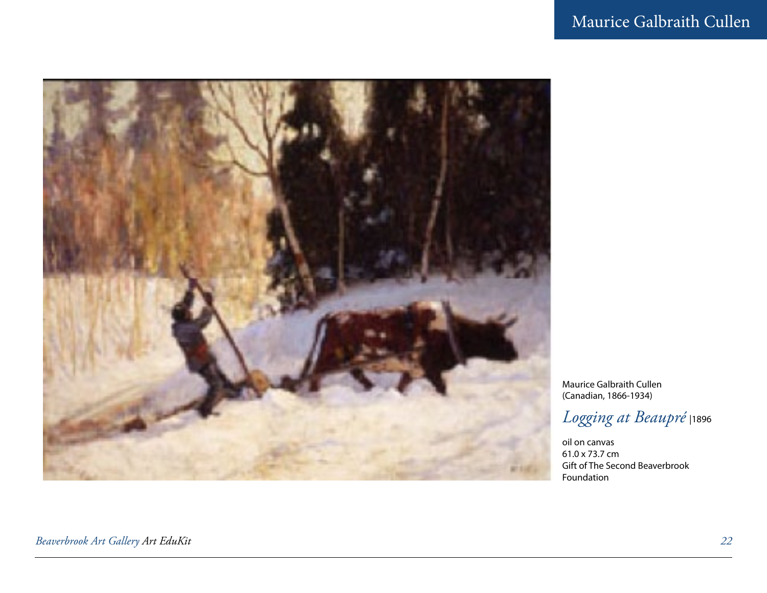

Maurice Galbraith Cullen (Canadian, 1866-1934)

### *Logging at Beaupré* |1896

oil on canvas 61.0 x 73.7 cm Gift of The Second Beaverbrook Foundation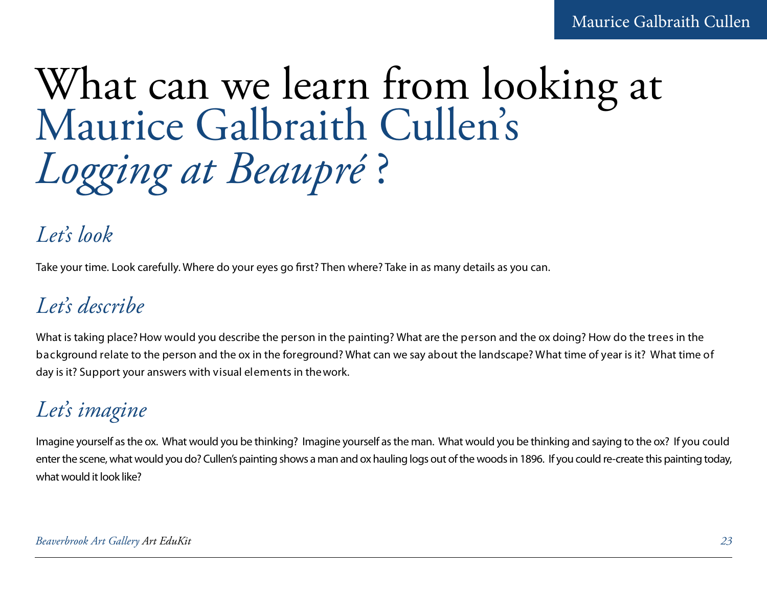## What can we learn from looking at Maurice Galbraith Cullen's *Logging at Beaupré* ?

## *Let's look*

Take your time. Look carefully. Where do your eyes go first? Then where? Take in as many details as you can.

## *Let's describe*

What is taking place? How would you describe the person in the painting? What are the person and the ox doing? How do the trees in the background relate to the person and the ox in the foreground? What can we say about the landscape? What time of year is it? What time of day is it? Support your answers with visual elements in the work.

## *Let's imagine*

Imagine yourself as the ox. What would you be thinking? Imagine yourself as the man. What would you be thinking and saying to the ox? If you could enter the scene, what would you do? Cullen's painting shows a man and ox hauling logs out of the woods in 1896. If you could re-create this painting today, what would it look like?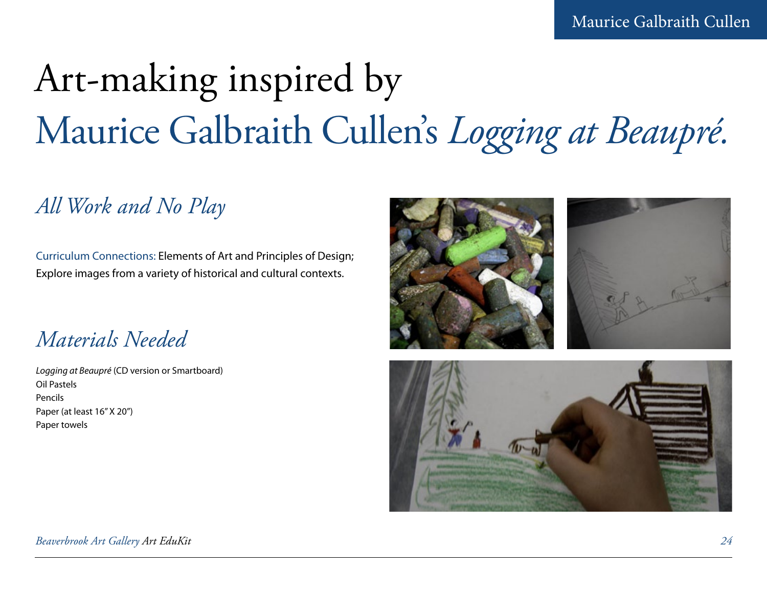# Art-making inspired by Maurice Galbraith Cullen's *Logging at Beaupré.*

## *All Work and No Play*

Curriculum Connections: Elements of Art and Principles of Design; Explore images from a variety of historical and cultural contexts.

*Materials Needed*

*Logging at Beaupré* (CD version or Smartboard) Oil Pastels Pencils Paper (at least 16" X 20") Paper towels



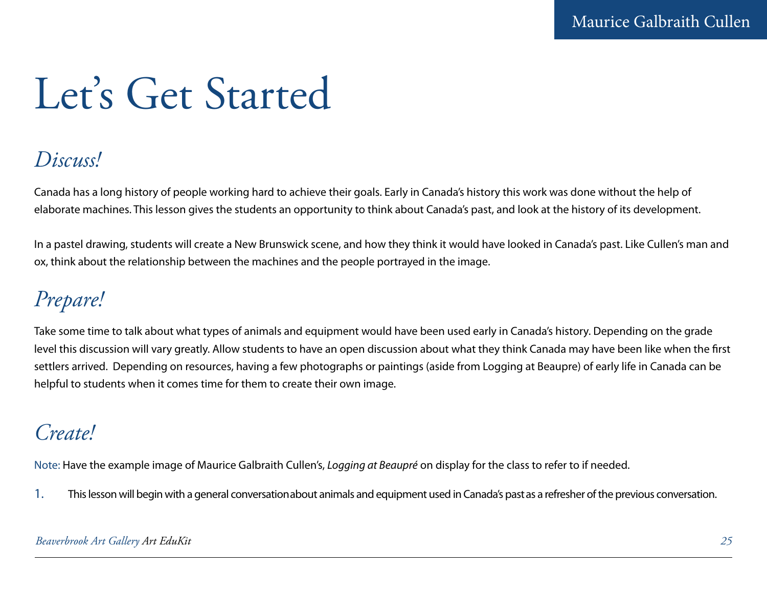# Let's Get Started

## *Discuss!*

Canada has a long history of people working hard to achieve their goals. Early in Canada's history this work was done without the help of elaborate machines. This lesson gives the students an opportunity to think about Canada's past, and look at the history of its development.

In a pastel drawing, students will create a New Brunswick scene, and how they think it would have looked in Canada's past. Like Cullen's man and ox, think about the relationship between the machines and the people portrayed in the image.

## *Prepare!*

Take some time to talk about what types of animals and equipment would have been used early in Canada's history. Depending on the grade level this discussion will vary greatly. Allow students to have an open discussion about what they think Canada may have been like when the first settlers arrived. Depending on resources, having a few photographs or paintings (aside from Logging at Beaupre) of early life in Canada can be helpful to students when it comes time for them to create their own image.

## *Create!*

Note: Have the example image of Maurice Galbraith Cullen's, *Logging at Beaupré* on display for the class to refer to if needed.

1. This lesson will begin with a general conversation about animals and equipment used in Canada's past as a refresher of the previous conversation.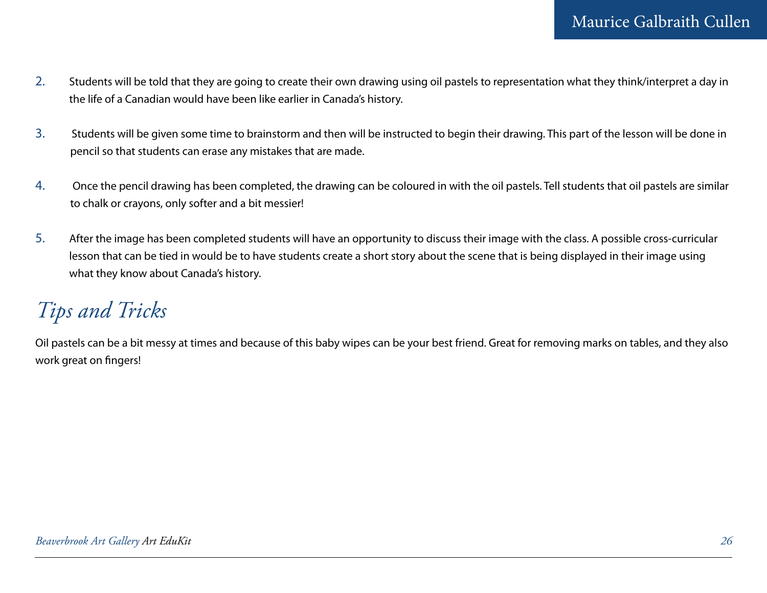- 2. Students will be told that they are going to create their own drawing using oil pastels to representation what they think/interpret a day in the life of a Canadian would have been like earlier in Canada's history.
- 3. Students will be given some time to brainstorm and then will be instructed to begin their drawing. This part of the lesson will be done in pencil so that students can erase any mistakes that are made.
- 4. Once the pencil drawing has been completed, the drawing can be coloured in with the oil pastels. Tell students that oil pastels are similar to chalk or crayons, only softer and a bit messier!
- 5. After the image has been completed students will have an opportunity to discuss their image with the class. A possible cross-curricular lesson that can be tied in would be to have students create a short story about the scene that is being displayed in their image using what they know about Canada's history.

## *Tips and Tricks*

Oil pastels can be a bit messy at times and because of this baby wipes can be your best friend. Great for removing marks on tables, and they also work great on fingers!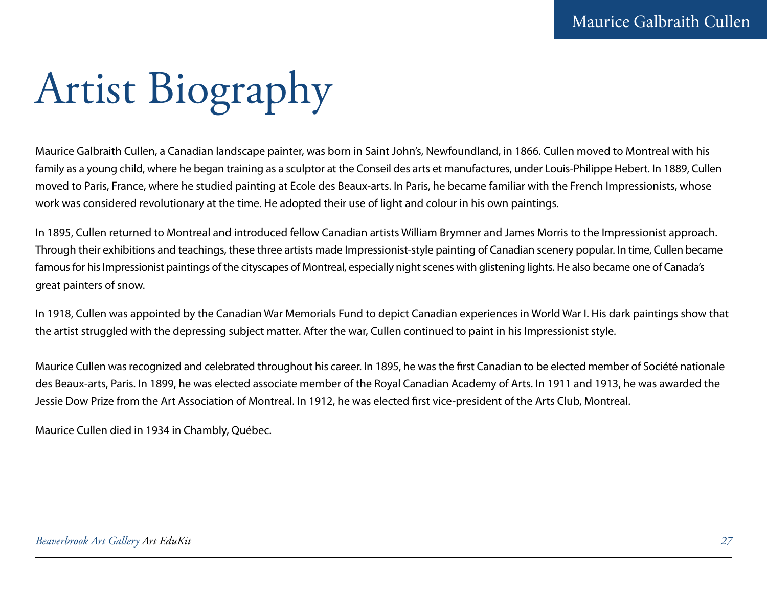# Artist Biography

Maurice Galbraith Cullen, a Canadian landscape painter, was born in Saint John's, Newfoundland, in 1866. Cullen moved to Montreal with his family as a young child, where he began training as a sculptor at the Conseil des arts et manufactures, under Louis-Philippe Hebert. In 1889, Cullen moved to Paris, France, where he studied painting at Ecole des Beaux-arts. In Paris, he became familiar with the French Impressionists, whose work was considered revolutionary at the time. He adopted their use of light and colour in his own paintings.

In 1895, Cullen returned to Montreal and introduced fellow Canadian artists William Brymner and James Morris to the Impressionist approach. Through their exhibitions and teachings, these three artists made Impressionist-style painting of Canadian scenery popular. In time, Cullen became famous for his Impressionist paintings of the cityscapes of Montreal, especially night scenes with glistening lights. He also became one of Canada's great painters of snow.

In 1918, Cullen was appointed by the Canadian War Memorials Fund to depict Canadian experiences in World War I. His dark paintings show that the artist struggled with the depressing subject matter. After the war, Cullen continued to paint in his Impressionist style.

Maurice Cullen was recognized and celebrated throughout his career. In 1895, he was the first Canadian to be elected member of Société nationale des Beaux-arts, Paris. In 1899, he was elected associate member of the Royal Canadian Academy of Arts. In 1911 and 1913, he was awarded the Jessie Dow Prize from the Art Association of Montreal. In 1912, he was elected first vice-president of the Arts Club, Montreal.

Maurice Cullen died in 1934 in Chambly, Québec.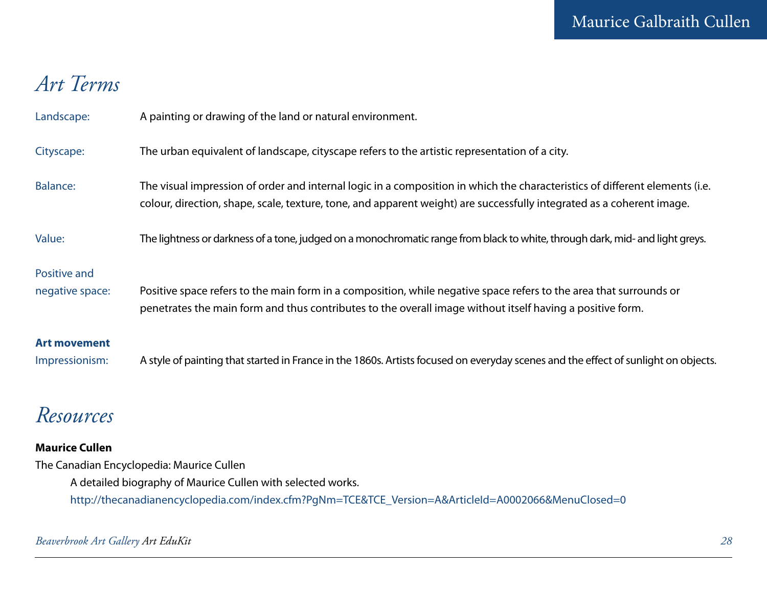## *Art Terms*

| Landscape:                            | A painting or drawing of the land or natural environment.                                                                                                                                                                                            |
|---------------------------------------|------------------------------------------------------------------------------------------------------------------------------------------------------------------------------------------------------------------------------------------------------|
| Cityscape:                            | The urban equivalent of landscape, cityscape refers to the artistic representation of a city.                                                                                                                                                        |
| <b>Balance:</b>                       | The visual impression of order and internal logic in a composition in which the characteristics of different elements (i.e.<br>colour, direction, shape, scale, texture, tone, and apparent weight) are successfully integrated as a coherent image. |
| Value:                                | The lightness or darkness of a tone, judged on a monochromatic range from black to white, through dark, mid- and light greys.                                                                                                                        |
| Positive and<br>negative space:       | Positive space refers to the main form in a composition, while negative space refers to the area that surrounds or<br>penetrates the main form and thus contributes to the overall image without itself having a positive form.                      |
| <b>Art movement</b><br>Impressionism: | A style of painting that started in France in the 1860s. Artists focused on everyday scenes and the effect of sunlight on objects.                                                                                                                   |

## *Resources*

### **Maurice Cullen**

The Canadian Encyclopedia: Maurice Cullen A detailed biography of Maurice Cullen with selected works. http://thecanadianencyclopedia.com/index.cfm?PgNm=TCE&TCE\_Version=A&ArticleId=A0002066&MenuClosed=0

### *Beaverbrook Art Gallery Art EduKit 28*